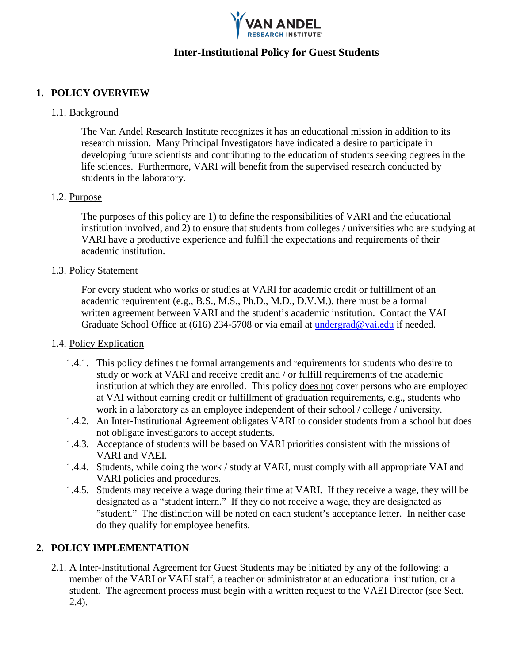

# **Inter-Institutional Policy for Guest Students**

# **1. POLICY OVERVIEW**

#### 1.1. Background

The Van Andel Institute (VAI) recognizes it has an educational mission in addition to its research mission. Many Principal Investigators have indicated a desire to participate in developing future scientists and contributing to the education of students seeking degrees in the life sciences. Furthermore, VAI will benefit from the supervised research conducted by students in the laboratory.

# 1.2. Purpose

The purposes of this policy are 1) to define the responsibilities of VAI and the educational institution involved, and 2) to ensure that students from colleges / universities who are studying at VAI have a productive experience and fulfill the expectations and requirements of their academic institution.

#### 1.3. Policy Statement

For every student who works or studies at VAI for academic credit or fulfillment of an academic requirement (e.g., B.S., M.S., Ph.D., M.D., D.V.M.), there must be a formal written agreement between VAI and the student's academic institution. Contact the VAI Graduate School Office at (616) 234-5708 or via email at [undergrad@vai.](mailto:undergrad@vai.org)edu if needed.

# 1.4. Policy Explication

- 1.4.1. This policy defines the formal arrangements and requirements for students who desire to study or work at VAI and receive credit and / or fulfill requirements of the academic institution at which they are enrolled. This policy does not cover persons who are employed at VAI without earning credit or fulfillment of graduation requirements, e.g., students who work in a laboratory as an employee independent of their school / college / university.
- 1.4.2. An Inter-Institutional Agreement obligates VAI to consider students from a school but does not obligate investigators to accept students.
- 1.4.3. Acceptance of students will be based on VAI priorities consistent with the missions of VAI and Van Andel Education Institute (VAEI).
- 1.4.4. Students, while doing the work / study at VAI, must comply with all appropriate VAI and VARI policies and procedures.
- 1.4.5. Students may receive a wage during their time at VAI. If they receive a wage, they will be designated as a "student intern." If they do not receive a wage, they are designated as "student." The distinction will be noted on each student's acceptance letter. In neither case do they qualify for employee benefits.

# **2. POLICY IMPLEMENTATION**

2.1. A Inter-Institutional Agreement for Guest Students may be initiated by any of the following: a member of the VAI or VAEI staff, a teacher or administrator at an educational institution, or a student. The agreement process must begin with a written request to the VAEI Director (see Sect. 2.4).